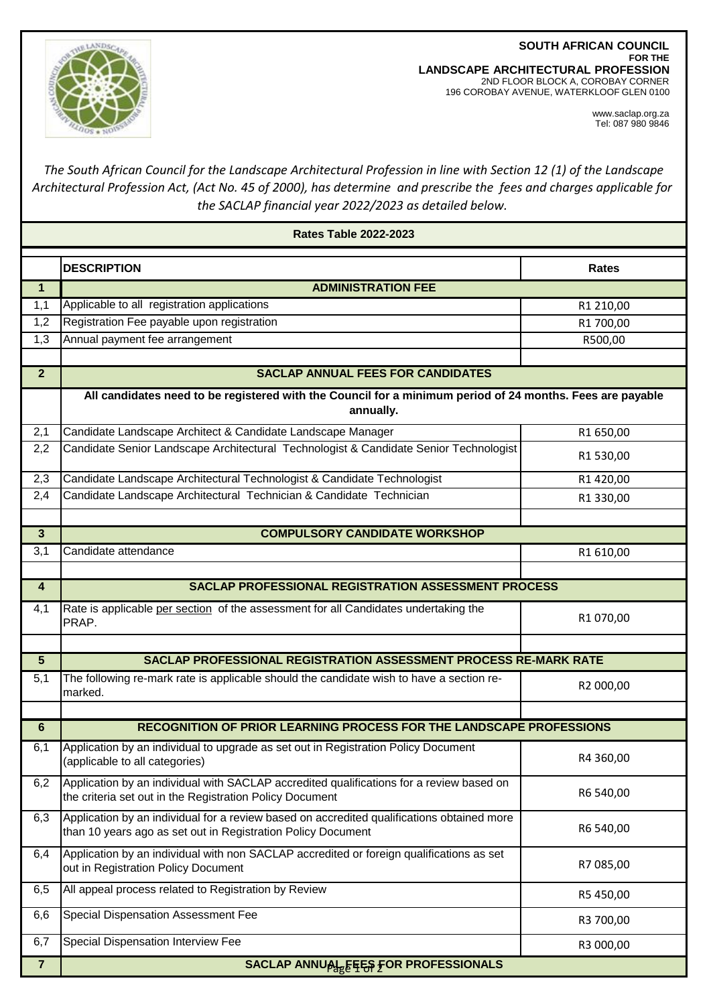**SOUTH AFRICAN COUNCIL FOR THE LANDSCAPE ARCHITECTURAL PROFESSION** 2ND FLOOR BLOCK A, COROBAY CORNER 196 COROBAY AVENUE, WATERKLOOF GLEN 0100



www.saclap.org.za Tel: 087 980 9846

## *The South African Council for the Landscape Architectural Profession in line with Section 12 (1) of the Landscape Architectural Profession Act, (Act No. 45 of 2000), has determine and prescribe the fees and charges applicable for the SACLAP financial year 2022/2023 as detailed below.*

| <b>Rates Table 2022-2023</b> |                                                                                                                                                            |              |  |
|------------------------------|------------------------------------------------------------------------------------------------------------------------------------------------------------|--------------|--|
|                              | <b>DESCRIPTION</b>                                                                                                                                         | <b>Rates</b> |  |
| $\mathbf{1}$                 | <b>ADMINISTRATION FEE</b>                                                                                                                                  |              |  |
| 1,1                          | Applicable to all registration applications                                                                                                                | R1 210,00    |  |
| 1,2                          | Registration Fee payable upon registration                                                                                                                 | R1 700,00    |  |
| 1,3                          | Annual payment fee arrangement                                                                                                                             | R500,00      |  |
|                              |                                                                                                                                                            |              |  |
| 2 <sup>2</sup>               | <b>SACLAP ANNUAL FEES FOR CANDIDATES</b>                                                                                                                   |              |  |
|                              | All candidates need to be registered with the Council for a minimum period of 24 months. Fees are payable<br>annually.                                     |              |  |
| 2,1                          | Candidate Landscape Architect & Candidate Landscape Manager                                                                                                | R1 650,00    |  |
| 2,2                          | Candidate Senior Landscape Architectural Technologist & Candidate Senior Technologist                                                                      | R1 530,00    |  |
| 2,3                          | Candidate Landscape Architectural Technologist & Candidate Technologist                                                                                    | R1420,00     |  |
| 2,4                          | Candidate Landscape Architectural Technician & Candidate Technician                                                                                        | R1 330,00    |  |
|                              |                                                                                                                                                            |              |  |
| $\overline{3}$               | <b>COMPULSORY CANDIDATE WORKSHOP</b>                                                                                                                       |              |  |
| 3,1                          | Candidate attendance                                                                                                                                       | R1 610,00    |  |
|                              |                                                                                                                                                            |              |  |
| $\overline{\mathbf{4}}$      | SACLAP PROFESSIONAL REGISTRATION ASSESSMENT PROCESS                                                                                                        |              |  |
| 4,1                          | Rate is applicable per section of the assessment for all Candidates undertaking the<br>PRAP.                                                               | R1 070,00    |  |
| $\overline{5}$               | SACLAP PROFESSIONAL REGISTRATION ASSESSMENT PROCESS RE-MARK RATE                                                                                           |              |  |
| 5,1                          | The following re-mark rate is applicable should the candidate wish to have a section re-                                                                   | R2 000,00    |  |
|                              | marked.                                                                                                                                                    |              |  |
| $6\phantom{a}$               | <b>RECOGNITION OF PRIOR LEARNING PROCESS FOR THE LANDSCAPE PROFESSIONS</b>                                                                                 |              |  |
|                              |                                                                                                                                                            |              |  |
| 6,1                          | Application by an individual to upgrade as set out in Registration Policy Document<br>(applicable to all categories)                                       | R4 360,00    |  |
| 6,2                          | Application by an individual with SACLAP accredited qualifications for a review based on<br>the criteria set out in the Registration Policy Document       | R6 540,00    |  |
| 6,3                          | Application by an individual for a review based on accredited qualifications obtained more<br>than 10 years ago as set out in Registration Policy Document | R6 540,00    |  |
| 6,4                          | Application by an individual with non SACLAP accredited or foreign qualifications as set<br>out in Registration Policy Document                            | R7 085,00    |  |
| 6,5                          | All appeal process related to Registration by Review                                                                                                       | R5 450,00    |  |
| 6,6                          | Special Dispensation Assessment Fee                                                                                                                        | R3 700,00    |  |
| 6,7                          | Special Dispensation Interview Fee                                                                                                                         | R3 000,00    |  |
| $\overline{7}$               | <b>SACLAP ANNUAL EEES FOR PROFESSIONALS</b>                                                                                                                |              |  |